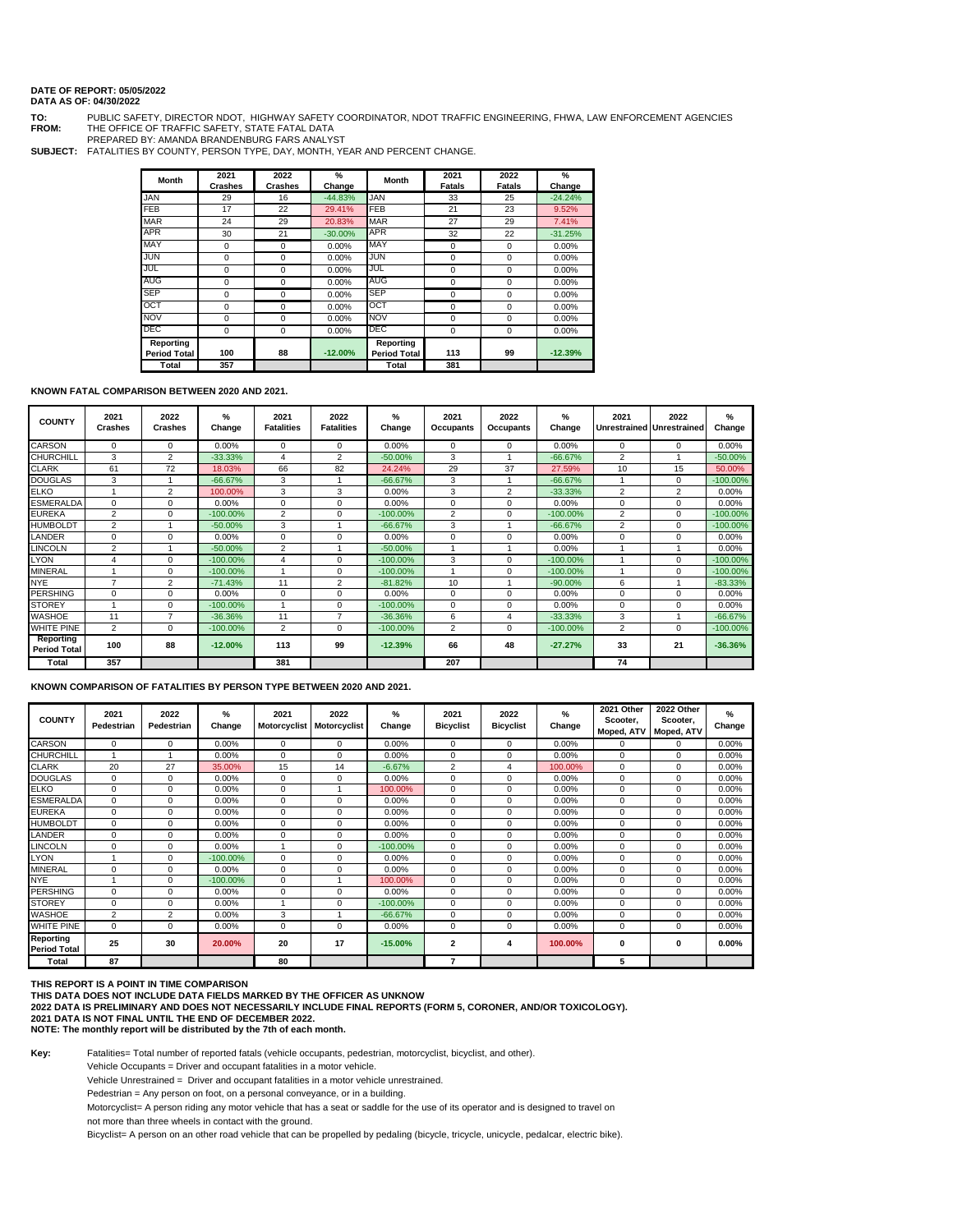## **DATE OF REPORT: 05/05/2022**

## **DATA AS OF: 04/30/2022**

**TO:** PUBLIC SAFETY, DIRECTOR NDOT, HIGHWAY SAFETY COORDINATOR, NDOT TRAFFIC ENGINEERING, FHWA, LAW ENFORCEMENT AGENCIES **FROM:** THE OFFICE OF TRAFFIC SAFETY, STATE FATAL DATA

PREPARED BY: AMANDA BRANDENBURG FARS ANALYST

**SUBJECT:** FATALITIES BY COUNTY, PERSON TYPE, DAY, MONTH, YEAR AND PERCENT CHANGE.

| <b>Month</b>        | 2021<br><b>Crashes</b> | 2022<br><b>Crashes</b> | $\frac{9}{6}$<br>Change | <b>Month</b>        | 2021<br><b>Fatals</b> | 2022<br><b>Fatals</b> | %<br>Change |
|---------------------|------------------------|------------------------|-------------------------|---------------------|-----------------------|-----------------------|-------------|
| <b>JAN</b>          | 29                     | 16                     | $-44.83%$               | <b>JAN</b>          | 33                    | 25                    | $-24.24%$   |
| FEB                 | 17                     | 22                     | 29.41%                  | <b>FEB</b>          | 21                    | 23                    | 9.52%       |
| <b>MAR</b>          | 24                     | 29                     | 20.83%                  | <b>MAR</b>          | 27                    | 29                    | 7.41%       |
| <b>APR</b>          | 30                     | 21                     | $-30.00%$               | <b>APR</b>          | 32                    | 22                    | $-31.25%$   |
| MAY                 | 0                      | 0                      | 0.00%                   | MAY                 | 0                     | 0                     | 0.00%       |
| JUN                 | $\mathbf 0$            | 0                      | 0.00%                   | JUN                 | 0                     | $\Omega$              | 0.00%       |
| JUL                 | $\Omega$               | 0                      | 0.00%                   | JUL                 | 0                     | $\Omega$              | 0.00%       |
| <b>AUG</b>          | $\mathbf 0$            | 0                      | 0.00%                   | <b>AUG</b>          | 0                     | 0                     | 0.00%       |
| <b>SEP</b>          | $\Omega$               | 0                      | 0.00%                   | <b>SEP</b>          | 0                     | $\Omega$              | 0.00%       |
| OCT                 | $\mathbf 0$            | 0                      | 0.00%                   | OCT                 | 0                     | $\Omega$              | 0.00%       |
| NOV                 | 0                      | 0                      | 0.00%                   | <b>NOV</b>          | 0                     | 0                     | 0.00%       |
| DEC                 | $\mathbf 0$            | 0                      | 0.00%                   | DEC                 | 0                     | 0                     | 0.00%       |
| Reporting           |                        |                        |                         | Reporting           |                       |                       |             |
| <b>Period Total</b> | 100                    | 88                     | $-12.00%$               | <b>Period Total</b> | 113                   | 99                    | $-12.39%$   |
| Total               | 357                    |                        |                         | Total               | 381                   |                       |             |

## **KNOWN FATAL COMPARISON BETWEEN 2020 AND 2021.**

| <b>COUNTY</b>                    | 2021<br><b>Crashes</b> | 2022<br>Crashes | %<br>Change | 2021<br><b>Fatalities</b> | 2022<br><b>Fatalities</b> | %<br>Change | 2021<br><b>Occupants</b> | 2022<br>Occupants | %<br>Change | 2021<br><b>Unrestrained Unrestrained</b> | 2022           | %<br>Change |
|----------------------------------|------------------------|-----------------|-------------|---------------------------|---------------------------|-------------|--------------------------|-------------------|-------------|------------------------------------------|----------------|-------------|
| <b>CARSON</b>                    | $\Omega$               | $\Omega$        | 0.00%       | 0                         | $\mathbf 0$               | 0.00%       | 0                        | $\Omega$          | 0.00%       | 0                                        | 0              | 0.00%       |
| <b>CHURCHILL</b>                 | 3                      | 2               | $-33.33%$   | $\overline{4}$            | 2                         | $-50.00%$   | 3                        |                   | $-66.67%$   | $\overline{2}$                           | -4             | $-50.00%$   |
| <b>CLARK</b>                     | 61                     | 72              | 18.03%      | 66                        | 82                        | 24.24%      | 29                       | 37                | 27.59%      | 10                                       | 15             | 50.00%      |
| <b>DOUGLAS</b>                   | 3                      |                 | $-66.67%$   | 3                         |                           | $-66.67%$   | 3                        |                   | $-66.67%$   |                                          | $\Omega$       | $-100.00\%$ |
| <b>ELKO</b>                      |                        | $\overline{2}$  | 100.00%     | 3                         | 3                         | 0.00%       | 3                        | $\overline{2}$    | $-33.33%$   | $\overline{2}$                           | $\overline{2}$ | 0.00%       |
| <b>ESMERALDA</b>                 | $\Omega$               | $\Omega$        | 0.00%       | $\Omega$                  | $\Omega$                  | 0.00%       | $\Omega$                 | $\Omega$          | 0.00%       | $\Omega$                                 | $\Omega$       | 0.00%       |
| <b>EUREKA</b>                    | 2                      | 0               | $-100.00\%$ | 2                         | 0                         | $-100.00\%$ | 2                        | $\Omega$          | $-100.00\%$ | $\overline{2}$                           | $\Omega$       | $-100.00%$  |
| <b>HUMBOLDT</b>                  | $\overline{2}$         |                 | $-50.00%$   | 3                         |                           | $-66.67%$   | 3                        |                   | $-66.67%$   | $\overline{2}$                           | 0              | $-100.00%$  |
| <b>LANDER</b>                    | $\Omega$               | $\Omega$        | 0.00%       | 0                         | 0                         | 0.00%       | $\Omega$                 | $\Omega$          | 0.00%       | 0                                        | $\Omega$       | 0.00%       |
| <b>LINCOLN</b>                   | 2                      |                 | $-50.00%$   | 2                         |                           | $-50.00%$   |                          |                   | 0.00%       |                                          |                | 0.00%       |
| <b>LYON</b>                      | 4                      | $\Omega$        | $-100.00\%$ | 4                         | $\Omega$                  | $-100.00\%$ | 3                        | $\Omega$          | $-100.00\%$ |                                          | $\Omega$       | $-100.00\%$ |
| <b>MINERAL</b>                   |                        | $\Omega$        | $-100.00\%$ |                           | $\Omega$                  | $-100.00\%$ |                          | $\Omega$          | $-100.00\%$ |                                          | $\Omega$       | $-100.00\%$ |
| <b>NYE</b>                       | $\overline{7}$         | 2               | $-71.43%$   | 11                        | 2                         | $-81.82%$   | 10                       |                   | $-90.00%$   | 6                                        | и              | $-83.33%$   |
| <b>PERSHING</b>                  | $\Omega$               | 0               | 0.00%       | 0                         | 0                         | 0.00%       | 0                        | $\Omega$          | 0.00%       | 0                                        | $\Omega$       | 0.00%       |
| <b>STOREY</b>                    |                        | $\Omega$        | $-100.00\%$ | -1                        | 0                         | $-100.00\%$ | $\Omega$                 | $\Omega$          | 0.00%       | $\Omega$                                 | 0              | 0.00%       |
| <b>WASHOE</b>                    | 11                     | 7               | $-36.36%$   | 11                        | 7                         | $-36.36%$   | 6                        | 4                 | $-33.33%$   | 3                                        |                | $-66.67%$   |
| <b>WHITE PINE</b>                | 2                      | $\Omega$        | $-100.00\%$ | 2                         | $\Omega$                  | $-100.00\%$ | $\overline{2}$           | $\Omega$          | $-100.00\%$ | $\overline{2}$                           | $\Omega$       | $-100.00\%$ |
| Reporting<br><b>Period Total</b> | 100                    | 88              | $-12.00%$   | 113                       | 99                        | $-12.39%$   | 66                       | 48                | $-27.27%$   | 33                                       | 21             | $-36.36%$   |
| Total                            | 357                    |                 |             | 381                       |                           |             | 207                      |                   |             | 74                                       |                |             |

**KNOWN COMPARISON OF FATALITIES BY PERSON TYPE BETWEEN 2020 AND 2021.**

| <b>COUNTY</b>                    | 2021<br>Pedestrian | 2022<br>Pedestrian | %<br>Change | 2021<br><b>Motorcyclist</b> | 2022<br>Motorcyclist | %<br>Change | 2021<br><b>Bicyclist</b> | 2022<br><b>Bicyclist</b> | $\%$<br>Change | 2021 Other<br>Scooter.<br>Moped, ATV | 2022 Other<br>Scooter,<br>Moped, ATV | %<br>Change |
|----------------------------------|--------------------|--------------------|-------------|-----------------------------|----------------------|-------------|--------------------------|--------------------------|----------------|--------------------------------------|--------------------------------------|-------------|
| <b>CARSON</b>                    | $\Omega$           | $\Omega$           | 0.00%       | $\Omega$                    | $\Omega$             | 0.00%       | $\Omega$                 | $\Omega$                 | 0.00%          | $\Omega$                             | 0                                    | 0.00%       |
| CHURCHILL                        |                    |                    | 0.00%       | 0                           | $\Omega$             | 0.00%       | $\Omega$                 | $\Omega$                 | 0.00%          | $\Omega$                             | $\Omega$                             | 0.00%       |
| <b>CLARK</b>                     | 20                 | 27                 | 35.00%      | 15                          | 14                   | $-6.67%$    | 2                        | $\overline{4}$           | 100.00%        | 0                                    | 0                                    | 0.00%       |
| <b>DOUGLAS</b>                   | $\Omega$           | $\Omega$           | 0.00%       | 0                           | 0                    | 0.00%       | $\Omega$                 | $^{\circ}$               | 0.00%          | 0                                    | 0                                    | 0.00%       |
| ELKO                             | $\mathbf 0$        | $\Omega$           | 0.00%       | 0                           |                      | 100.00%     | $\Omega$                 | $^{\circ}$               | 0.00%          | 0                                    | 0                                    | 0.00%       |
| <b>ESMERALDA</b>                 | $\Omega$           | $\Omega$           | 0.00%       | 0                           | $\Omega$             | 0.00%       | $\Omega$                 | $^{\circ}$               | 0.00%          | $\Omega$                             | 0                                    | 0.00%       |
| <b>EUREKA</b>                    | $\Omega$           | $\Omega$           | 0.00%       | 0                           | 0                    | 0.00%       | $\Omega$                 | $\Omega$                 | 0.00%          | 0                                    | $\mathbf 0$                          | 0.00%       |
| <b>HUMBOLDT</b>                  | $\Omega$           | $\Omega$           | 0.00%       | 0                           | 0                    | 0.00%       | $\Omega$                 | $^{\circ}$               | 0.00%          | 0                                    | 0                                    | 0.00%       |
| LANDER                           | $\Omega$           | $\Omega$           | 0.00%       | 0                           | $\mathbf 0$          | 0.00%       | $\Omega$                 | $^{\circ}$               | 0.00%          | 0                                    | $\mathbf 0$                          | 0.00%       |
| <b>LINCOLN</b>                   | 0                  | $\Omega$           | 0.00%       | 1                           | 0                    | $-100.00%$  | $\Omega$                 | $^{\circ}$               | 0.00%          | 0                                    | 0                                    | 0.00%       |
| LYON                             | -4                 | $\Omega$           | $-100.00\%$ | $\Omega$                    | $\Omega$             | 0.00%       | $\Omega$                 | $^{\circ}$               | 0.00%          | $\Omega$                             | 0                                    | 0.00%       |
| MINERAL                          | $\Omega$           | $\Omega$           | 0.00%       | 0                           | 0                    | 0.00%       | $\Omega$                 | $\mathbf 0$              | 0.00%          | 0                                    | 0                                    | 0.00%       |
| NYE.                             | и                  | $\Omega$           | $-100.00\%$ | 0                           |                      | 100.00%     | $\Omega$                 | $^{\circ}$               | 0.00%          | 0                                    | $\Omega$                             | 0.00%       |
| PERSHING                         | $\Omega$           | $\Omega$           | 0.00%       | 0                           | $\Omega$             | 0.00%       | $\Omega$                 | $\mathbf 0$              | 0.00%          | 0                                    | 0                                    | 0.00%       |
| <b>STOREY</b>                    | $\Omega$           | $\Omega$           | 0.00%       | 1                           | $\Omega$             | $-100.00\%$ | $\Omega$                 | $\Omega$                 | 0.00%          | $\Omega$                             | $\mathbf 0$                          | 0.00%       |
| <b>WASHOE</b>                    | 2                  | $\overline{2}$     | 0.00%       | 3                           |                      | $-66.67%$   | $\Omega$                 | $\Omega$                 | 0.00%          | 0                                    | $\Omega$                             | 0.00%       |
| WHITE PINE                       | $\Omega$           | $\Omega$           | 0.00%       | 0                           | $\Omega$             | 0.00%       | $\Omega$                 | $\Omega$                 | 0.00%          | $\Omega$                             | $\Omega$                             | 0.00%       |
| Reporting<br><b>Period Total</b> | 25                 | 30                 | 20.00%      | 20                          | 17                   | $-15.00%$   | $\mathbf{2}$             | 4                        | 100.00%        | $\bf{0}$                             | $\mathbf{0}$                         | $0.00\%$    |
| Total                            | 87                 |                    |             | 80                          |                      |             | $\overline{7}$           |                          |                | 5                                    |                                      |             |

THIS REPORT IS A POINT IN TIME COMPARISON<br>THIS DATA DOES NOT INCLUDE DATA FIELDS MARKED BY THE OFFICER AS UNKNOW

**2022 DATA IS PRELIMINARY AND DOES NOT NECESSARILY INCLUDE FINAL REPORTS (FORM 5, CORONER, AND/OR TOXICOLOGY). 2021 DATA IS NOT FINAL UNTIL THE END OF DECEMBER 2022.** 

**NOTE: The monthly report will be distributed by the 7th of each month.** 

**Key:** Fatalities= Total number of reported fatals (vehicle occupants, pedestrian, motorcyclist, bicyclist, and other).

Vehicle Occupants = Driver and occupant fatalities in a motor vehicle.

Vehicle Unrestrained = Driver and occupant fatalities in a motor vehicle unrestrained.

Pedestrian = Any person on foot, on a personal conveyance, or in a building.

Motorcyclist= A person riding any motor vehicle that has a seat or saddle for the use of its operator and is designed to travel on

not more than three wheels in contact with the ground.

Bicyclist= A person on an other road vehicle that can be propelled by pedaling (bicycle, tricycle, unicycle, pedalcar, electric bike).